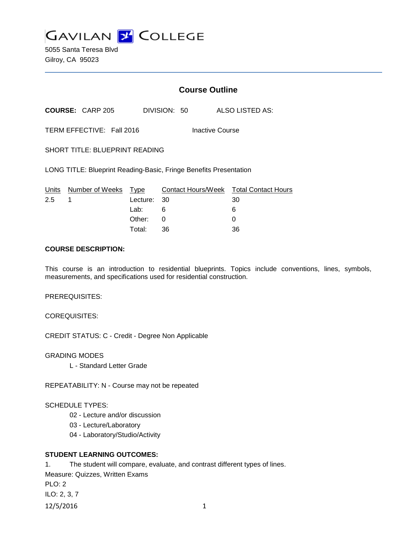

5055 Santa Teresa Blvd Gilroy, CA 95023

## **Course Outline**

**COURSE:** CARP 205 DIVISION: 50 ALSO LISTED AS:

TERM EFFECTIVE: Fall 2016 Inactive Course

SHORT TITLE: BLUEPRINT READING

LONG TITLE: Blueprint Reading-Basic, Fringe Benefits Presentation

|     | Units Number of Weeks Type |             | Contact Hours/Week  Total Contact Hours |    |
|-----|----------------------------|-------------|-----------------------------------------|----|
| 2.5 |                            | Lecture: 30 |                                         | 30 |
|     |                            | Lab:        | 6                                       | 6  |
|     |                            | Other: 0    |                                         |    |
|     |                            | Total:      | - 36                                    | 36 |

### **COURSE DESCRIPTION:**

This course is an introduction to residential blueprints. Topics include conventions, lines, symbols, measurements, and specifications used for residential construction.

PREREQUISITES:

COREQUISITES:

CREDIT STATUS: C - Credit - Degree Non Applicable

GRADING MODES

L - Standard Letter Grade

REPEATABILITY: N - Course may not be repeated

#### SCHEDULE TYPES:

- 02 Lecture and/or discussion
- 03 Lecture/Laboratory
- 04 Laboratory/Studio/Activity

### **STUDENT LEARNING OUTCOMES:**

1. The student will compare, evaluate, and contrast different types of lines. Measure: Quizzes, Written Exams PLO: 2 ILO: 2, 3, 7 12/5/2016 1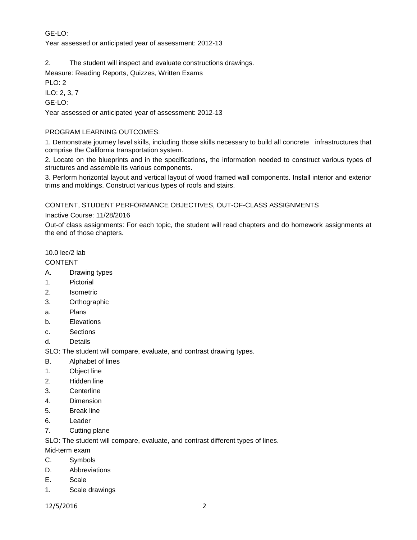# GE-LO:

Year assessed or anticipated year of assessment: 2012-13

2. The student will inspect and evaluate constructions drawings.

Measure: Reading Reports, Quizzes, Written Exams

PLO: 2

ILO: 2, 3, 7

GE-LO:

Year assessed or anticipated year of assessment: 2012-13

## PROGRAM LEARNING OUTCOMES:

1. Demonstrate journey level skills, including those skills necessary to build all concrete infrastructures that comprise the California transportation system.

2. Locate on the blueprints and in the specifications, the information needed to construct various types of structures and assemble its various components.

3. Perform horizontal layout and vertical layout of wood framed wall components. Install interior and exterior trims and moldings. Construct various types of roofs and stairs.

CONTENT, STUDENT PERFORMANCE OBJECTIVES, OUT-OF-CLASS ASSIGNMENTS

### Inactive Course: 11/28/2016

Out-of class assignments: For each topic, the student will read chapters and do homework assignments at the end of those chapters.

# 10.0 lec/2 lab

# CONTENT

- A. Drawing types
- 1. Pictorial
- 2. Isometric
- 3. Orthographic
- a. Plans
- b. Elevations
- c. Sections
- d. Details

SLO: The student will compare, evaluate, and contrast drawing types.

- B. Alphabet of lines
- 1. Object line
- 2. Hidden line
- 3. Centerline
- 4. Dimension
- 5. Break line
- 6. Leader
- 7. Cutting plane

SLO: The student will compare, evaluate, and contrast different types of lines.

- Mid-term exam
- C. Symbols
- D. Abbreviations
- E. Scale
- 1. Scale drawings
- 12/5/2016 2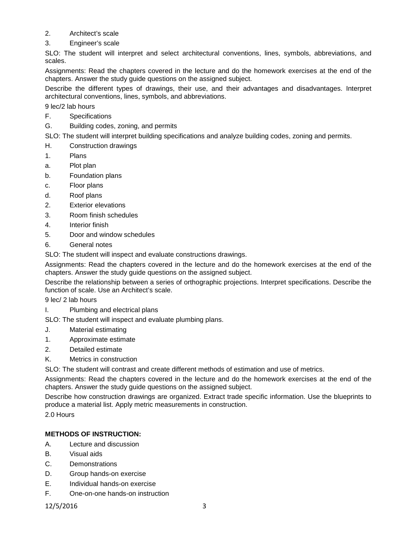- 2. Architect's scale
- 3. Engineer's scale

SLO: The student will interpret and select architectural conventions, lines, symbols, abbreviations, and scales.

Assignments: Read the chapters covered in the lecture and do the homework exercises at the end of the chapters. Answer the study guide questions on the assigned subject.

Describe the different types of drawings, their use, and their advantages and disadvantages. Interpret architectural conventions, lines, symbols, and abbreviations.

9 lec/2 lab hours

- F. Specifications
- G. Building codes, zoning, and permits

SLO: The student will interpret building specifications and analyze building codes, zoning and permits.

- H. Construction drawings
- 1. Plans
- a. Plot plan
- b. Foundation plans
- c. Floor plans
- d. Roof plans
- 2. Exterior elevations
- 3. Room finish schedules
- 4. Interior finish
- 5. Door and window schedules
- 6. General notes

SLO: The student will inspect and evaluate constructions drawings.

Assignments: Read the chapters covered in the lecture and do the homework exercises at the end of the chapters. Answer the study guide questions on the assigned subject.

Describe the relationship between a series of orthographic projections. Interpret specifications. Describe the function of scale. Use an Architect's scale.

9 lec/ 2 lab hours

I. Plumbing and electrical plans

SLO: The student will inspect and evaluate plumbing plans.

- J. Material estimating
- 1. Approximate estimate
- 2. Detailed estimate
- K. Metrics in construction

SLO: The student will contrast and create different methods of estimation and use of metrics.

Assignments: Read the chapters covered in the lecture and do the homework exercises at the end of the chapters. Answer the study guide questions on the assigned subject.

Describe how construction drawings are organized. Extract trade specific information. Use the blueprints to produce a material list. Apply metric measurements in construction.

2.0 Hours

### **METHODS OF INSTRUCTION:**

- A. Lecture and discussion
- B. Visual aids
- C. Demonstrations
- D. Group hands-on exercise
- E. Individual hands-on exercise
- F. One-on-one hands-on instruction

12/5/2016 3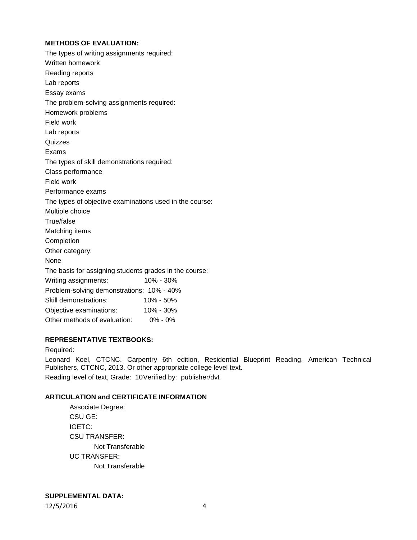# **METHODS OF EVALUATION:**

| The types of writing assignments required:              |           |
|---------------------------------------------------------|-----------|
| Written homework                                        |           |
| Reading reports                                         |           |
| Lab reports                                             |           |
| Essay exams                                             |           |
| The problem-solving assignments required:               |           |
| Homework problems                                       |           |
| Field work                                              |           |
| Lab reports                                             |           |
| Quizzes                                                 |           |
| Exams                                                   |           |
| The types of skill demonstrations required:             |           |
| Class performance                                       |           |
| Field work                                              |           |
| Performance exams                                       |           |
| The types of objective examinations used in the course: |           |
| Multiple choice                                         |           |
| True/false                                              |           |
| Matching items                                          |           |
| Completion                                              |           |
| Other category:                                         |           |
| None                                                    |           |
| The basis for assigning students grades in the course:  |           |
| Writing assignments:                                    | 10% - 30% |
| Problem-solving demonstrations: 10% - 40%               |           |
| Skill demonstrations:                                   | 10% - 50% |
| Objective examinations:                                 | 10% - 30% |
| Other methods of evaluation:                            | 0% - 0%   |

# **REPRESENTATIVE TEXTBOOKS:**

### Required:

Leonard Koel, CTCNC. Carpentry 6th edition, Residential Blueprint Reading. American Technical Publishers, CTCNC, 2013. Or other appropriate college level text. Reading level of text, Grade: 10Verified by: publisher/dvt

# **ARTICULATION and CERTIFICATE INFORMATION**

| Associate Degree:    |  |  |  |  |
|----------------------|--|--|--|--|
| CSU GE:              |  |  |  |  |
| <b>IGETC:</b>        |  |  |  |  |
| <b>CSU TRANSFER:</b> |  |  |  |  |
| Not Transferable     |  |  |  |  |
| UC TRANSFER:         |  |  |  |  |
| Not Transferable     |  |  |  |  |